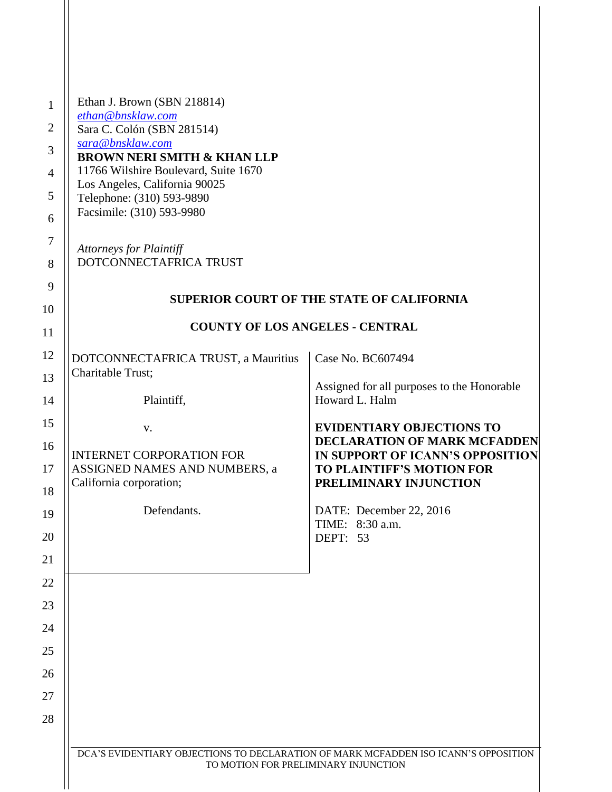| $\mathbf{1}$   | Ethan J. Brown (SBN 218814)                                                                                                 |                                                                         |
|----------------|-----------------------------------------------------------------------------------------------------------------------------|-------------------------------------------------------------------------|
| $\overline{2}$ | ethan@bnsklaw.com<br>Sara C. Colón (SBN 281514)                                                                             |                                                                         |
| 3              | sara@bnsklaw.com<br><b>BROWN NERI SMITH &amp; KHAN LLP</b>                                                                  |                                                                         |
| $\overline{4}$ | 11766 Wilshire Boulevard, Suite 1670                                                                                        |                                                                         |
| 5              | Los Angeles, California 90025<br>Telephone: (310) 593-9890                                                                  |                                                                         |
| 6              | Facsimile: (310) 593-9980                                                                                                   |                                                                         |
| $\tau$         | <b>Attorneys for Plaintiff</b>                                                                                              |                                                                         |
| 8              | DOTCONNECTAFRICA TRUST                                                                                                      |                                                                         |
| 9              |                                                                                                                             | <b>SUPERIOR COURT OF THE STATE OF CALIFORNIA</b>                        |
| 10             |                                                                                                                             |                                                                         |
| 11             | <b>COUNTY OF LOS ANGELES - CENTRAL</b>                                                                                      |                                                                         |
| 12             | DOTCONNECTAFRICA TRUST, a Mauritius                                                                                         | Case No. BC607494                                                       |
| 13             | Charitable Trust;                                                                                                           | Assigned for all purposes to the Honorable                              |
| 14             | Plaintiff,                                                                                                                  | Howard L. Halm                                                          |
| 15             | V.                                                                                                                          | <b>EVIDENTIARY OBJECTIONS TO</b>                                        |
| 16             | <b>INTERNET CORPORATION FOR</b>                                                                                             | <b>DECLARATION OF MARK MCFADDEN</b><br>IN SUPPORT OF ICANN'S OPPOSITION |
| 17             | ASSIGNED NAMES AND NUMBERS, a<br>California corporation;                                                                    | <b>TO PLAINTIFF'S MOTION FOR</b><br>PRELIMINARY INJUNCTION              |
| 18             |                                                                                                                             |                                                                         |
| 19             | Defendants.                                                                                                                 | DATE: December 22, 2016<br>TIME: 8:30 a.m.                              |
| 20             |                                                                                                                             | DEPT: 53                                                                |
| 21             |                                                                                                                             |                                                                         |
| 22             |                                                                                                                             |                                                                         |
| 23             |                                                                                                                             |                                                                         |
| 24<br>25       |                                                                                                                             |                                                                         |
| 26             |                                                                                                                             |                                                                         |
| 27             |                                                                                                                             |                                                                         |
| 28             |                                                                                                                             |                                                                         |
|                |                                                                                                                             |                                                                         |
|                | DCA'S EVIDENTIARY OBJECTIONS TO DECLARATION OF MARK MCFADDEN ISO ICANN'S OPPOSITION<br>TO MOTION FOR PRELIMINARY INJUNCTION |                                                                         |
|                |                                                                                                                             |                                                                         |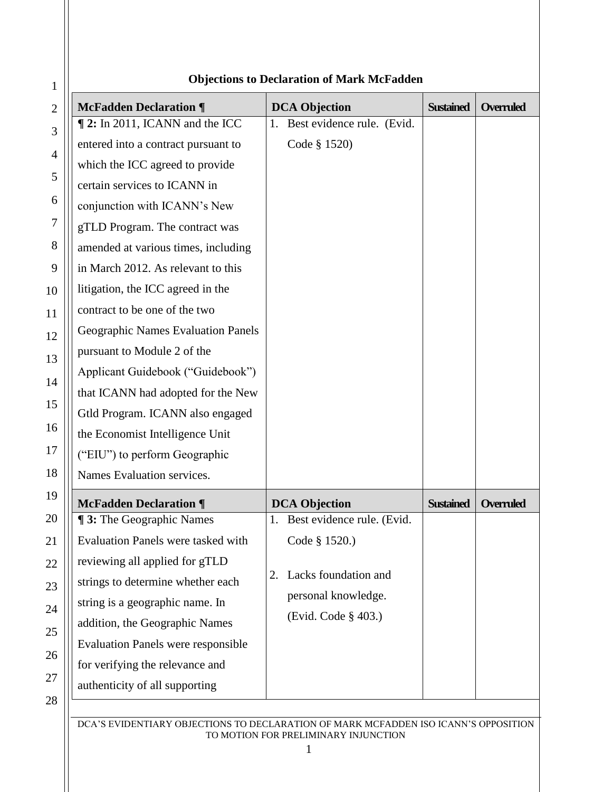| Objections to Declaration of Mark Meradden |                                           |                                  |                  |                  |
|--------------------------------------------|-------------------------------------------|----------------------------------|------------------|------------------|
|                                            | <b>McFadden Declaration ¶</b>             | <b>DCA Objection</b>             | <b>Sustained</b> | <b>Overruled</b> |
|                                            | 12: In 2011, ICANN and the ICC            | Best evidence rule. (Evid.<br>1. |                  |                  |
|                                            | entered into a contract pursuant to       | Code § 1520)                     |                  |                  |
|                                            | which the ICC agreed to provide           |                                  |                  |                  |
|                                            | certain services to ICANN in              |                                  |                  |                  |
|                                            | conjunction with ICANN's New              |                                  |                  |                  |
|                                            | gTLD Program. The contract was            |                                  |                  |                  |
|                                            | amended at various times, including       |                                  |                  |                  |
|                                            | in March 2012. As relevant to this        |                                  |                  |                  |
|                                            | litigation, the ICC agreed in the         |                                  |                  |                  |
|                                            | contract to be one of the two             |                                  |                  |                  |
|                                            | Geographic Names Evaluation Panels        |                                  |                  |                  |
|                                            | pursuant to Module 2 of the               |                                  |                  |                  |
|                                            | Applicant Guidebook ("Guidebook")         |                                  |                  |                  |
|                                            | that ICANN had adopted for the New        |                                  |                  |                  |
|                                            | Gtld Program. ICANN also engaged          |                                  |                  |                  |
|                                            | the Economist Intelligence Unit           |                                  |                  |                  |
|                                            | ("EIU") to perform Geographic             |                                  |                  |                  |
|                                            | Names Evaluation services.                |                                  |                  |                  |
|                                            | <b>McFadden Declaration ¶</b>             | <b>DCA Objection</b>             | <b>Sustained</b> | <b>Overruled</b> |
|                                            | <b>13:</b> The Geographic Names           | 1. Best evidence rule. (Evid.    |                  |                  |
|                                            | Evaluation Panels were tasked with        | Code § 1520.)                    |                  |                  |
|                                            | reviewing all applied for gTLD            |                                  |                  |                  |
|                                            | strings to determine whether each         | Lacks foundation and<br>2.       |                  |                  |
|                                            | string is a geographic name. In           | personal knowledge.              |                  |                  |
|                                            | addition, the Geographic Names            | (Evid. Code § 403.)              |                  |                  |
|                                            | <b>Evaluation Panels were responsible</b> |                                  |                  |                  |
|                                            | for verifying the relevance and           |                                  |                  |                  |
|                                            | authenticity of all supporting            |                                  |                  |                  |
|                                            |                                           |                                  |                  |                  |

## **Objections to Declaration of Mark McFadden**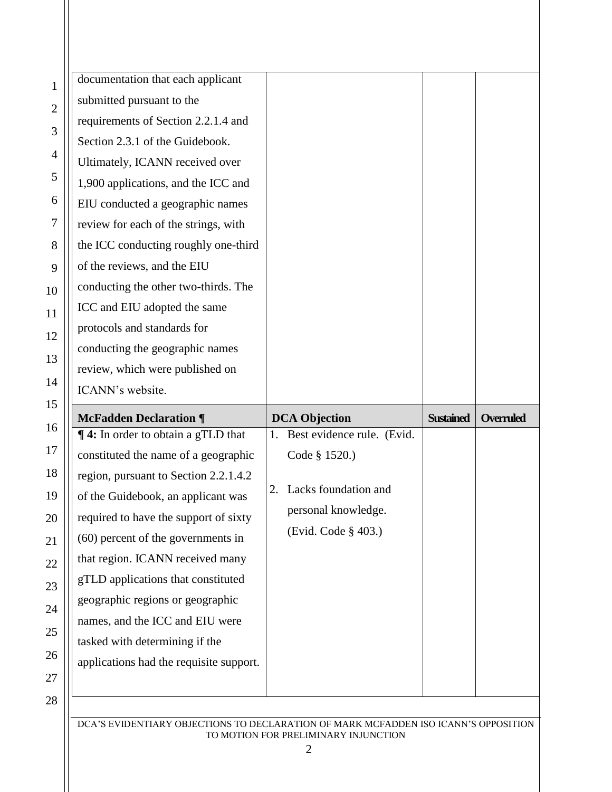| $\mathbf{1}$   | documentation that each applicant         |                                  |                  |                  |
|----------------|-------------------------------------------|----------------------------------|------------------|------------------|
| $\sqrt{2}$     | submitted pursuant to the                 |                                  |                  |                  |
|                | requirements of Section 2.2.1.4 and       |                                  |                  |                  |
| 3              | Section 2.3.1 of the Guidebook.           |                                  |                  |                  |
| $\overline{4}$ | Ultimately, ICANN received over           |                                  |                  |                  |
| 5              | 1,900 applications, and the ICC and       |                                  |                  |                  |
| 6              | EIU conducted a geographic names          |                                  |                  |                  |
| $\overline{7}$ | review for each of the strings, with      |                                  |                  |                  |
| 8              | the ICC conducting roughly one-third      |                                  |                  |                  |
| 9              | of the reviews, and the EIU               |                                  |                  |                  |
| 10             | conducting the other two-thirds. The      |                                  |                  |                  |
| 11             | ICC and EIU adopted the same              |                                  |                  |                  |
| 12             | protocols and standards for               |                                  |                  |                  |
| 13             | conducting the geographic names           |                                  |                  |                  |
|                | review, which were published on           |                                  |                  |                  |
| 14             | ICANN's website.                          |                                  |                  |                  |
| 15             | <b>McFadden Declaration ¶</b>             | <b>DCA Objection</b>             | <b>Sustained</b> | <b>Overruled</b> |
| 16             | <b>14:</b> In order to obtain a gTLD that | Best evidence rule. (Evid.<br>1. |                  |                  |
| 17             | constituted the name of a geographic      | Code § 1520.)                    |                  |                  |
| 18             | region, pursuant to Section 2.2.1.4.2     |                                  |                  |                  |
| 19             | of the Guidebook, an applicant was        | Lacks foundation and<br>2.       |                  |                  |
| 20             |                                           |                                  |                  |                  |
|                | required to have the support of sixty     | personal knowledge.              |                  |                  |
| 21             | (60) percent of the governments in        | (Evid. Code § 403.)              |                  |                  |
|                | that region. ICANN received many          |                                  |                  |                  |
| 22             | gTLD applications that constituted        |                                  |                  |                  |
| 23             | geographic regions or geographic          |                                  |                  |                  |
| 24             | names, and the ICC and EIU were           |                                  |                  |                  |
| 25             | tasked with determining if the            |                                  |                  |                  |
| 26             | applications had the requisite support.   |                                  |                  |                  |
| 27             |                                           |                                  |                  |                  |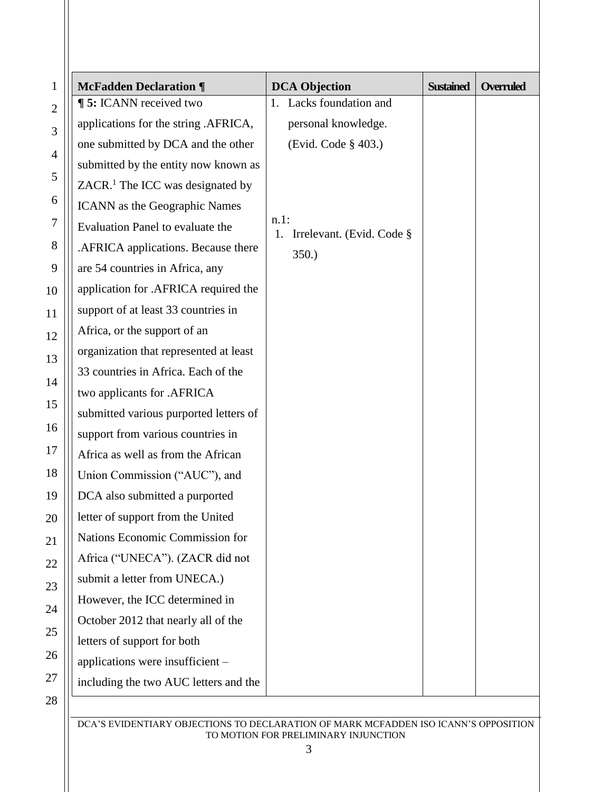| <b>McFadden Declaration ¶</b>                | <b>DCA Objection</b>                       | <b>Sustained</b> | <b>Overruled</b> |
|----------------------------------------------|--------------------------------------------|------------------|------------------|
| <b>[5: ICANN</b> received two                | 1. Lacks foundation and                    |                  |                  |
| applications for the string .AFRICA,         | personal knowledge.                        |                  |                  |
| one submitted by DCA and the other           | (Evid. Code § 403.)                        |                  |                  |
| submitted by the entity now known as         |                                            |                  |                  |
| ZACR. <sup>1</sup> The ICC was designated by |                                            |                  |                  |
| ICANN as the Geographic Names                |                                            |                  |                  |
| Evaluation Panel to evaluate the             | $n.1$ :<br>Irrelevant. (Evid. Code §<br>1. |                  |                  |
| .AFRICA applications. Because there          | 350.                                       |                  |                  |
| are 54 countries in Africa, any              |                                            |                  |                  |
| application for .AFRICA required the         |                                            |                  |                  |
| support of at least 33 countries in          |                                            |                  |                  |
| Africa, or the support of an                 |                                            |                  |                  |
| organization that represented at least       |                                            |                  |                  |
| 33 countries in Africa. Each of the          |                                            |                  |                  |
| two applicants for .AFRICA                   |                                            |                  |                  |
| submitted various purported letters of       |                                            |                  |                  |
| support from various countries in            |                                            |                  |                  |
| Africa as well as from the African           |                                            |                  |                  |
| Union Commission ("AUC"), and                |                                            |                  |                  |
| DCA also submitted a purported               |                                            |                  |                  |
| letter of support from the United            |                                            |                  |                  |
| Nations Economic Commission for              |                                            |                  |                  |
| Africa ("UNECA"). (ZACR did not              |                                            |                  |                  |
| submit a letter from UNECA.)                 |                                            |                  |                  |
| However, the ICC determined in               |                                            |                  |                  |
| October 2012 that nearly all of the          |                                            |                  |                  |
| letters of support for both                  |                                            |                  |                  |
| applications were insufficient -             |                                            |                  |                  |
| including the two AUC letters and the        |                                            |                  |                  |
|                                              |                                            |                  |                  |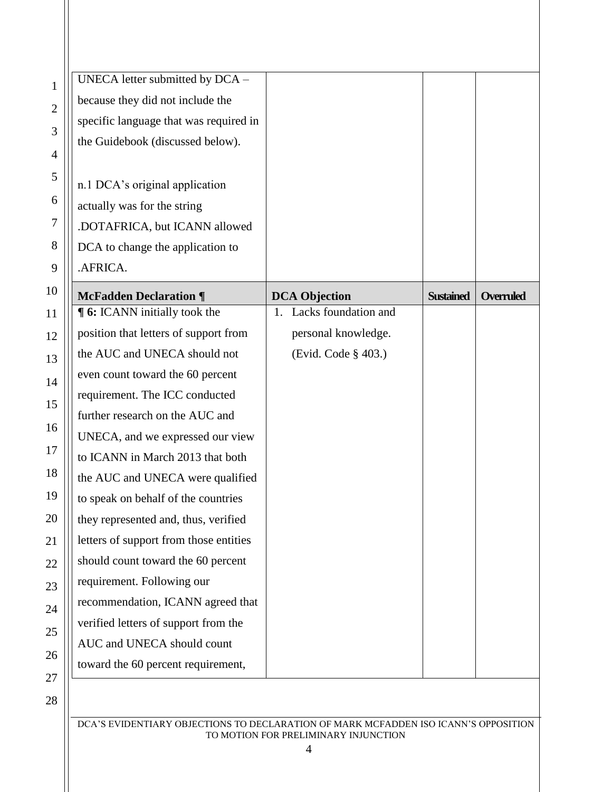| $\mathbf{1}$   | UNECA letter submitted by DCA -        |                         |                  |                  |
|----------------|----------------------------------------|-------------------------|------------------|------------------|
| $\mathbf{2}$   | because they did not include the       |                         |                  |                  |
|                | specific language that was required in |                         |                  |                  |
| 3              | the Guidebook (discussed below).       |                         |                  |                  |
| $\overline{4}$ |                                        |                         |                  |                  |
| 5              | n.1 DCA's original application         |                         |                  |                  |
| 6              | actually was for the string            |                         |                  |                  |
| $\overline{7}$ | .DOTAFRICA, but ICANN allowed          |                         |                  |                  |
| 8              | DCA to change the application to       |                         |                  |                  |
| 9              | .AFRICA.                               |                         |                  |                  |
| 10             | <b>McFadden Declaration ¶</b>          | <b>DCA Objection</b>    | <b>Sustained</b> | <b>Overruled</b> |
| 11             | <b>[6:</b> ICANN initially took the    | 1. Lacks foundation and |                  |                  |
| 12             | position that letters of support from  | personal knowledge.     |                  |                  |
| 13             | the AUC and UNECA should not           | (Evid. Code § 403.)     |                  |                  |
| 14             | even count toward the 60 percent       |                         |                  |                  |
| 15             | requirement. The ICC conducted         |                         |                  |                  |
|                | further research on the AUC and        |                         |                  |                  |
| 16             | UNECA, and we expressed our view       |                         |                  |                  |
| 17             | to ICANN in March 2013 that both       |                         |                  |                  |
| 18             | the AUC and UNECA were qualified       |                         |                  |                  |
| 19             | to speak on behalf of the countries    |                         |                  |                  |
| 20             | they represented and, thus, verified   |                         |                  |                  |
| 21             | letters of support from those entities |                         |                  |                  |
| 22             | should count toward the 60 percent     |                         |                  |                  |
| 23             | requirement. Following our             |                         |                  |                  |
| 24             | recommendation, ICANN agreed that      |                         |                  |                  |
| 25             | verified letters of support from the   |                         |                  |                  |
| 26             | AUC and UNECA should count             |                         |                  |                  |
|                | toward the 60 percent requirement,     |                         |                  |                  |
| 27             |                                        |                         |                  |                  |
| 28             |                                        |                         |                  |                  |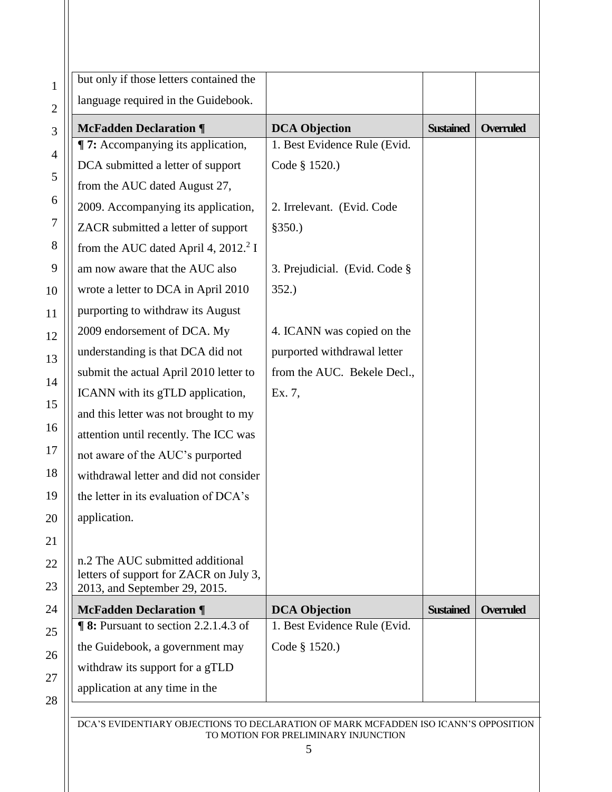|              | but only if those letters contained the                                 |                               |                  |                  |
|--------------|-------------------------------------------------------------------------|-------------------------------|------------------|------------------|
| $\mathbf{2}$ | language required in the Guidebook.                                     |                               |                  |                  |
| 3            | <b>McFadden Declaration ¶</b>                                           | <b>DCA Objection</b>          | <b>Sustained</b> | <b>Overruled</b> |
|              | <b>T:</b> Accompanying its application,                                 | 1. Best Evidence Rule (Evid.  |                  |                  |
|              | DCA submitted a letter of support                                       | Code § 1520.)                 |                  |                  |
|              | from the AUC dated August 27,                                           |                               |                  |                  |
|              | 2009. Accompanying its application,                                     | 2. Irrelevant. (Evid. Code    |                  |                  |
|              | ZACR submitted a letter of support                                      | \$350.)                       |                  |                  |
|              | from the AUC dated April 4, $2012.2$ I                                  |                               |                  |                  |
|              | am now aware that the AUC also                                          | 3. Prejudicial. (Evid. Code § |                  |                  |
|              | wrote a letter to DCA in April 2010                                     | 352.                          |                  |                  |
|              | purporting to withdraw its August                                       |                               |                  |                  |
|              | 2009 endorsement of DCA. My                                             | 4. ICANN was copied on the    |                  |                  |
|              | understanding is that DCA did not                                       | purported withdrawal letter   |                  |                  |
|              | submit the actual April 2010 letter to                                  | from the AUC. Bekele Decl.,   |                  |                  |
|              | ICANN with its gTLD application,                                        | Ex. 7,                        |                  |                  |
|              | and this letter was not brought to my                                   |                               |                  |                  |
|              | attention until recently. The ICC was                                   |                               |                  |                  |
|              | not aware of the AUC's purported                                        |                               |                  |                  |
|              | withdrawal letter and did not consider                                  |                               |                  |                  |
|              | the letter in its evaluation of DCA's                                   |                               |                  |                  |
|              | application.                                                            |                               |                  |                  |
|              |                                                                         |                               |                  |                  |
|              | n.2 The AUC submitted additional                                        |                               |                  |                  |
|              | letters of support for ZACR on July 3,<br>2013, and September 29, 2015. |                               |                  |                  |
|              | <b>McFadden Declaration ¶</b>                                           | <b>DCA Objection</b>          | <b>Sustained</b> | <b>Overruled</b> |
|              | $\P$ 8: Pursuant to section 2.2.1.4.3 of                                | 1. Best Evidence Rule (Evid.  |                  |                  |
|              | the Guidebook, a government may                                         | Code § 1520.)                 |                  |                  |
|              | withdraw its support for a gTLD                                         |                               |                  |                  |
|              | application at any time in the                                          |                               |                  |                  |
|              |                                                                         |                               |                  |                  |

 $\overline{2}$  $24$  $25$ 26  $2^{\prime}$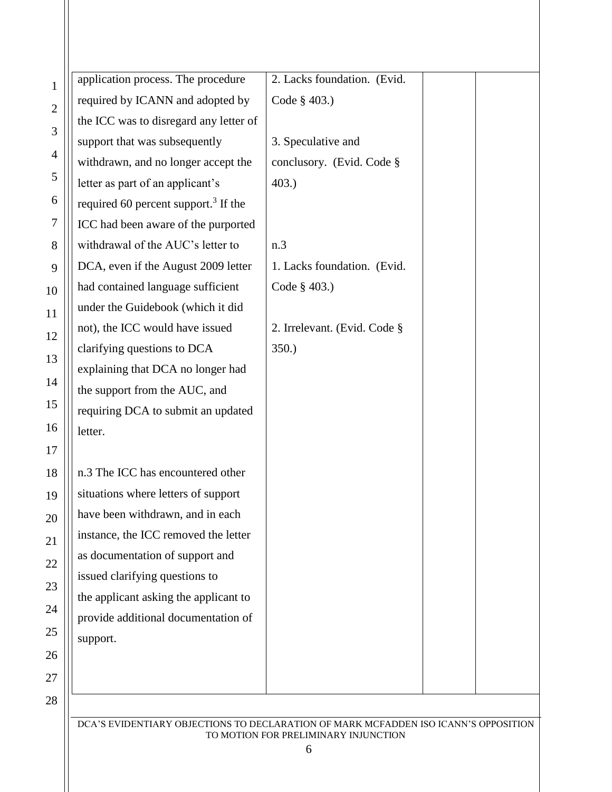| 1              | application process. The procedure               | 2. Lacks foundation. (Evid.  |
|----------------|--------------------------------------------------|------------------------------|
| $\mathbf{2}$   | required by ICANN and adopted by                 | Code § 403.)                 |
| 3              | the ICC was to disregard any letter of           |                              |
|                | support that was subsequently                    | 3. Speculative and           |
| $\overline{4}$ | withdrawn, and no longer accept the              | conclusory. (Evid. Code §    |
| 5              | letter as part of an applicant's                 | $403.$ )                     |
| 6              | required 60 percent support. <sup>3</sup> If the |                              |
| 7              | ICC had been aware of the purported              |                              |
| 8              | withdrawal of the AUC's letter to                | n.3                          |
| 9              | DCA, even if the August 2009 letter              | 1. Lacks foundation. (Evid.  |
| 10             | had contained language sufficient                | Code § 403.)                 |
| 11             | under the Guidebook (which it did                |                              |
| 12             | not), the ICC would have issued                  | 2. Irrelevant. (Evid. Code § |
| 13             | clarifying questions to DCA                      | 350.                         |
| 14             | explaining that DCA no longer had                |                              |
|                | the support from the AUC, and                    |                              |
| 15             | requiring DCA to submit an updated               |                              |
| 16             | letter.                                          |                              |
| 17             |                                                  |                              |
| 18             | n.3 The ICC has encountered other                |                              |
| 19             | situations where letters of support              |                              |
| 20             | have been withdrawn, and in each                 |                              |
| 21             | instance, the ICC removed the letter             |                              |
| 22             | as documentation of support and                  |                              |
| 23             | issued clarifying questions to                   |                              |
| 24             | the applicant asking the applicant to            |                              |
|                | provide additional documentation of              |                              |
| 25             | support.                                         |                              |
| 26             |                                                  |                              |
| 27             |                                                  |                              |
| 28             |                                                  |                              |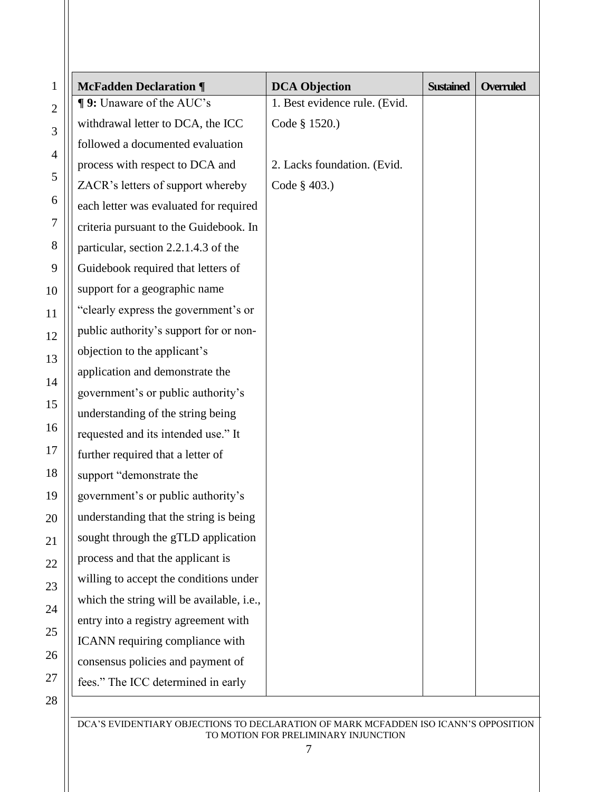| 1              | <b>McFadden Declaration ¶</b>             | <b>DCA Objection</b>          | <b>Sustained</b> | <b>Overruled</b> |
|----------------|-------------------------------------------|-------------------------------|------------------|------------------|
|                | ¶ 9: Unaware of the AUC's                 | 1. Best evidence rule. (Evid. |                  |                  |
|                | withdrawal letter to DCA, the ICC         | Code § 1520.)                 |                  |                  |
| 3              | followed a documented evaluation          |                               |                  |                  |
| $\overline{4}$ | process with respect to DCA and           | 2. Lacks foundation. (Evid.   |                  |                  |
| 5              | ZACR's letters of support whereby         | Code § 403.)                  |                  |                  |
| 6              | each letter was evaluated for required    |                               |                  |                  |
|                | criteria pursuant to the Guidebook. In    |                               |                  |                  |
|                | particular, section 2.2.1.4.3 of the      |                               |                  |                  |
|                | Guidebook required that letters of        |                               |                  |                  |
|                | support for a geographic name             |                               |                  |                  |
|                | "clearly express the government's or      |                               |                  |                  |
| 12             | public authority's support for or non-    |                               |                  |                  |
|                | objection to the applicant's              |                               |                  |                  |
|                | application and demonstrate the           |                               |                  |                  |
|                | government's or public authority's        |                               |                  |                  |
|                | understanding of the string being         |                               |                  |                  |
|                | requested and its intended use." It       |                               |                  |                  |
|                | further required that a letter of         |                               |                  |                  |
|                | support "demonstrate the                  |                               |                  |                  |
|                | government's or public authority's        |                               |                  |                  |
|                | understanding that the string is being    |                               |                  |                  |
|                | sought through the gTLD application       |                               |                  |                  |
|                | process and that the applicant is         |                               |                  |                  |
|                | willing to accept the conditions under    |                               |                  |                  |
|                | which the string will be available, i.e., |                               |                  |                  |
|                | entry into a registry agreement with      |                               |                  |                  |
|                | ICANN requiring compliance with           |                               |                  |                  |
|                | consensus policies and payment of         |                               |                  |                  |
|                | fees." The ICC determined in early        |                               |                  |                  |
| 28             |                                           |                               |                  |                  |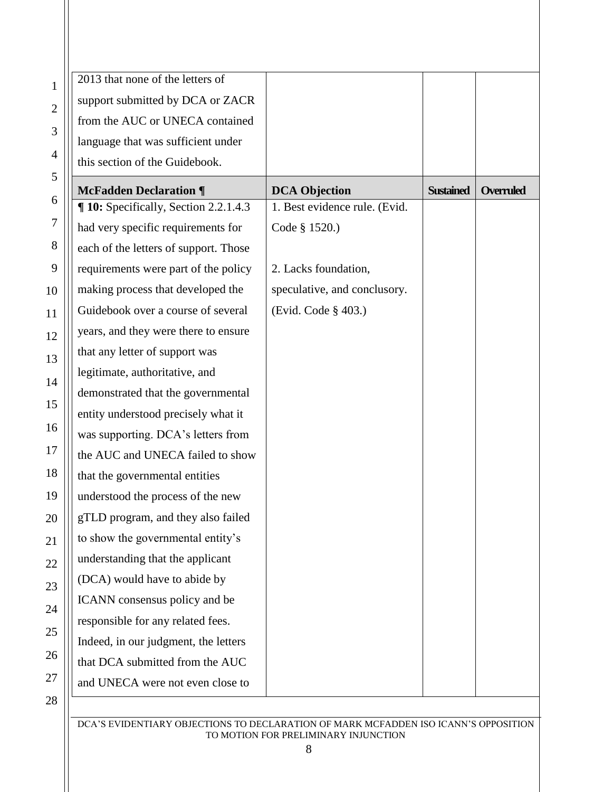| 2013 that none of the letters of      |                               |                  |                  |
|---------------------------------------|-------------------------------|------------------|------------------|
| support submitted by DCA or ZACR      |                               |                  |                  |
| from the AUC or UNECA contained       |                               |                  |                  |
| language that was sufficient under    |                               |                  |                  |
| this section of the Guidebook.        |                               |                  |                  |
| <b>McFadden Declaration ¶</b>         | <b>DCA Objection</b>          | <b>Sustained</b> | <b>Overruled</b> |
| ¶ 10: Specifically, Section 2.2.1.4.3 | 1. Best evidence rule. (Evid. |                  |                  |
| had very specific requirements for    | Code § 1520.)                 |                  |                  |
| each of the letters of support. Those |                               |                  |                  |
| requirements were part of the policy  | 2. Lacks foundation,          |                  |                  |
| making process that developed the     | speculative, and conclusory.  |                  |                  |
| Guidebook over a course of several    | (Evid. Code § 403.)           |                  |                  |
| years, and they were there to ensure  |                               |                  |                  |
| that any letter of support was        |                               |                  |                  |
| legitimate, authoritative, and        |                               |                  |                  |
| demonstrated that the governmental    |                               |                  |                  |
| entity understood precisely what it   |                               |                  |                  |
| was supporting. DCA's letters from    |                               |                  |                  |
| the AUC and UNECA failed to show      |                               |                  |                  |
| that the governmental entities        |                               |                  |                  |
| understood the process of the new     |                               |                  |                  |
| gTLD program, and they also failed    |                               |                  |                  |
| to show the governmental entity's     |                               |                  |                  |
| understanding that the applicant      |                               |                  |                  |
| (DCA) would have to abide by          |                               |                  |                  |
| ICANN consensus policy and be         |                               |                  |                  |
| responsible for any related fees.     |                               |                  |                  |
| Indeed, in our judgment, the letters  |                               |                  |                  |
| that DCA submitted from the AUC       |                               |                  |                  |
| and UNECA were not even close to      |                               |                  |                  |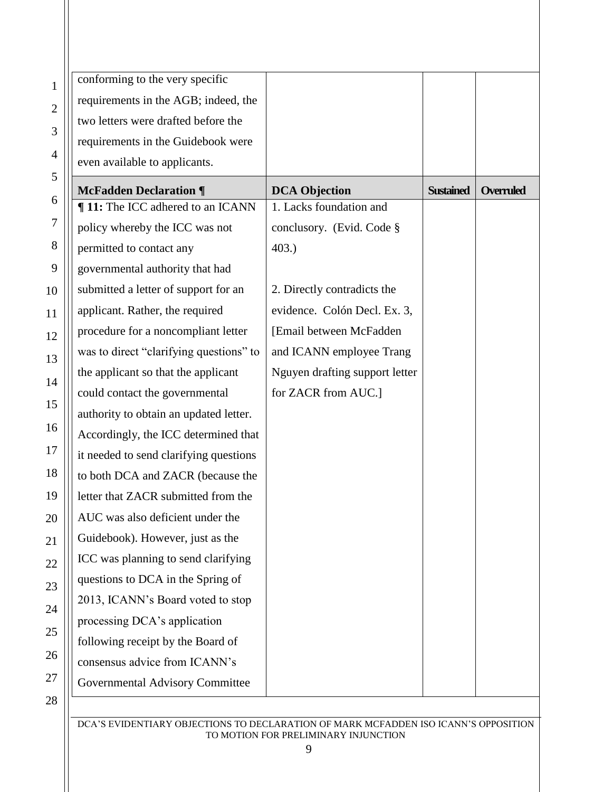| conforming to the very specific         |                                |                                      |
|-----------------------------------------|--------------------------------|--------------------------------------|
| requirements in the AGB; indeed, the    |                                |                                      |
| two letters were drafted before the     |                                |                                      |
| requirements in the Guidebook were      |                                |                                      |
| even available to applicants.           |                                |                                      |
| <b>McFadden Declaration ¶</b>           | <b>DCA Objection</b>           | <b>Sustained</b><br><b>Overruled</b> |
| ¶ 11: The ICC adhered to an ICANN       | 1. Lacks foundation and        |                                      |
| policy whereby the ICC was not          | conclusory. (Evid. Code §      |                                      |
| permitted to contact any                | 403.                           |                                      |
| governmental authority that had         |                                |                                      |
| submitted a letter of support for an    | 2. Directly contradicts the    |                                      |
| applicant. Rather, the required         | evidence. Colón Decl. Ex. 3,   |                                      |
| procedure for a noncompliant letter     | [Email between McFadden]       |                                      |
| was to direct "clarifying questions" to | and ICANN employee Trang       |                                      |
| the applicant so that the applicant     | Nguyen drafting support letter |                                      |
| could contact the governmental          | for ZACR from AUC.]            |                                      |
| authority to obtain an updated letter.  |                                |                                      |
| Accordingly, the ICC determined that    |                                |                                      |
| it needed to send clarifying questions  |                                |                                      |
| to both DCA and ZACR (because the       |                                |                                      |
| letter that ZACR submitted from the     |                                |                                      |
| AUC was also deficient under the        |                                |                                      |
| Guidebook). However, just as the        |                                |                                      |
| ICC was planning to send clarifying     |                                |                                      |
| questions to DCA in the Spring of       |                                |                                      |
| 2013, ICANN's Board voted to stop       |                                |                                      |
| processing DCA's application            |                                |                                      |
| following receipt by the Board of       |                                |                                      |
| consensus advice from ICANN's           |                                |                                      |
| Governmental Advisory Committee         |                                |                                      |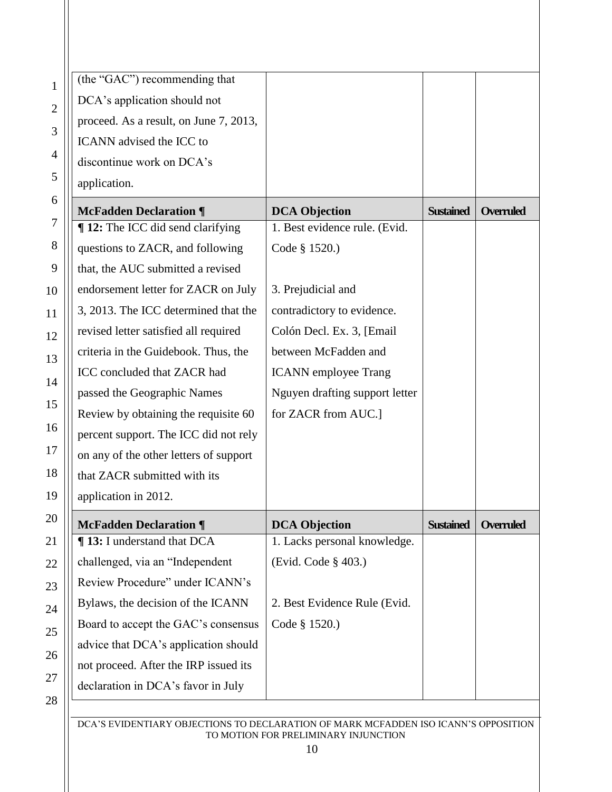| $\mathbf{1}$   | (the "GAC") recommending that          |                                |                  |                  |
|----------------|----------------------------------------|--------------------------------|------------------|------------------|
| $\overline{2}$ | DCA's application should not           |                                |                  |                  |
|                | proceed. As a result, on June 7, 2013, |                                |                  |                  |
| 3              | ICANN advised the ICC to               |                                |                  |                  |
| 4              | discontinue work on DCA's              |                                |                  |                  |
| 5              | application.                           |                                |                  |                  |
| 6              | <b>McFadden Declaration ¶</b>          | <b>DCA Objection</b>           | <b>Sustained</b> | <b>Overruled</b> |
| $\tau$         | ¶ 12: The ICC did send clarifying      | 1. Best evidence rule. (Evid.  |                  |                  |
| 8              | questions to ZACR, and following       | Code § 1520.)                  |                  |                  |
| 9              | that, the AUC submitted a revised      |                                |                  |                  |
| 10             | endorsement letter for ZACR on July    | 3. Prejudicial and             |                  |                  |
| 11             | 3, 2013. The ICC determined that the   | contradictory to evidence.     |                  |                  |
| 12             | revised letter satisfied all required  | Colón Decl. Ex. 3, [Email]     |                  |                  |
| 13             | criteria in the Guidebook. Thus, the   | between McFadden and           |                  |                  |
| 14             | ICC concluded that ZACR had            | <b>ICANN</b> employee Trang    |                  |                  |
|                | passed the Geographic Names            | Nguyen drafting support letter |                  |                  |
| 15             | Review by obtaining the requisite 60   | for ZACR from AUC.]            |                  |                  |
| 16             | percent support. The ICC did not rely  |                                |                  |                  |
| 17             | on any of the other letters of support |                                |                  |                  |
| 18             | that ZACR submitted with its           |                                |                  |                  |
| 19             | application in 2012.                   |                                |                  |                  |
| 20             | <b>McFadden Declaration ¶</b>          | <b>DCA Objection</b>           | <b>Sustained</b> | <b>Overruled</b> |
| 21             | <b>¶ 13:</b> I understand that DCA     | 1. Lacks personal knowledge.   |                  |                  |
| 22             | challenged, via an "Independent        | (Evid. Code § 403.)            |                  |                  |
| 23             | Review Procedure" under ICANN's        |                                |                  |                  |
| 24             | Bylaws, the decision of the ICANN      | 2. Best Evidence Rule (Evid.   |                  |                  |
| 25             | Board to accept the GAC's consensus    | Code § 1520.)                  |                  |                  |
| 26             | advice that DCA's application should   |                                |                  |                  |
| 27             | not proceed. After the IRP issued its  |                                |                  |                  |
|                | declaration in DCA's favor in July     |                                |                  |                  |
| 28             |                                        |                                |                  |                  |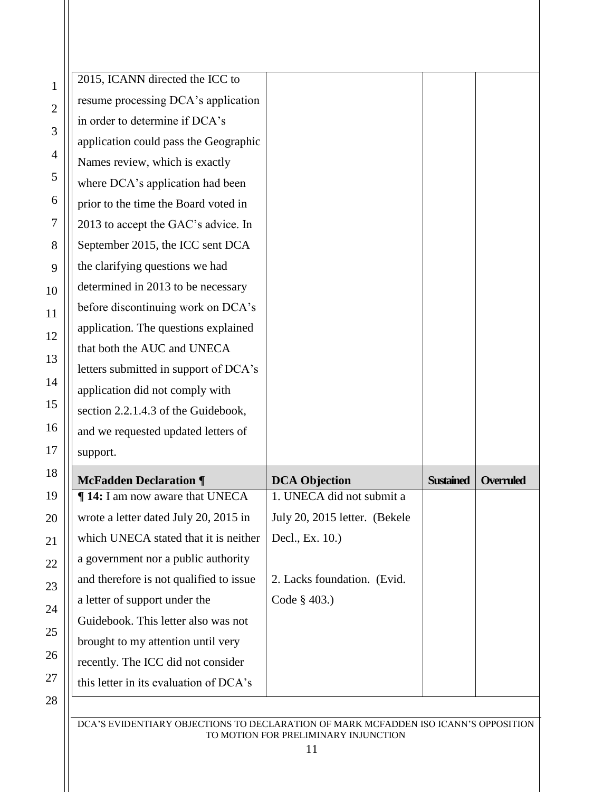|   | 2015, ICANN directed the ICC to         |                               |                  |           |
|---|-----------------------------------------|-------------------------------|------------------|-----------|
|   | resume processing DCA's application     |                               |                  |           |
|   | in order to determine if DCA's          |                               |                  |           |
|   | application could pass the Geographic   |                               |                  |           |
|   | Names review, which is exactly          |                               |                  |           |
|   | where DCA's application had been        |                               |                  |           |
| 5 | prior to the time the Board voted in    |                               |                  |           |
|   | 2013 to accept the GAC's advice. In     |                               |                  |           |
|   | September 2015, the ICC sent DCA        |                               |                  |           |
|   | the clarifying questions we had         |                               |                  |           |
|   | determined in 2013 to be necessary      |                               |                  |           |
|   | before discontinuing work on DCA's      |                               |                  |           |
|   | application. The questions explained    |                               |                  |           |
|   | that both the AUC and UNECA             |                               |                  |           |
|   | letters submitted in support of DCA's   |                               |                  |           |
|   | application did not comply with         |                               |                  |           |
|   | section 2.2.1.4.3 of the Guidebook,     |                               |                  |           |
| ź | and we requested updated letters of     |                               |                  |           |
|   | support.                                |                               |                  |           |
|   | <b>McFadden Declaration ¶</b>           | <b>DCA Objection</b>          | <b>Sustained</b> | Overruled |
|   | <b>14:</b> I am now aware that UNECA    | 1. UNECA did not submit a     |                  |           |
|   | wrote a letter dated July 20, 2015 in   | July 20, 2015 letter. (Bekele |                  |           |
|   | which UNECA stated that it is neither   | Decl., Ex. 10.)               |                  |           |
|   | a government nor a public authority     |                               |                  |           |
|   | and therefore is not qualified to issue | 2. Lacks foundation. (Evid.   |                  |           |
|   | a letter of support under the           | Code § 403.)                  |                  |           |
|   | Guidebook. This letter also was not     |                               |                  |           |
|   | brought to my attention until very      |                               |                  |           |
|   | recently. The ICC did not consider      |                               |                  |           |
|   | this letter in its evaluation of DCA's  |                               |                  |           |
|   |                                         |                               |                  |           |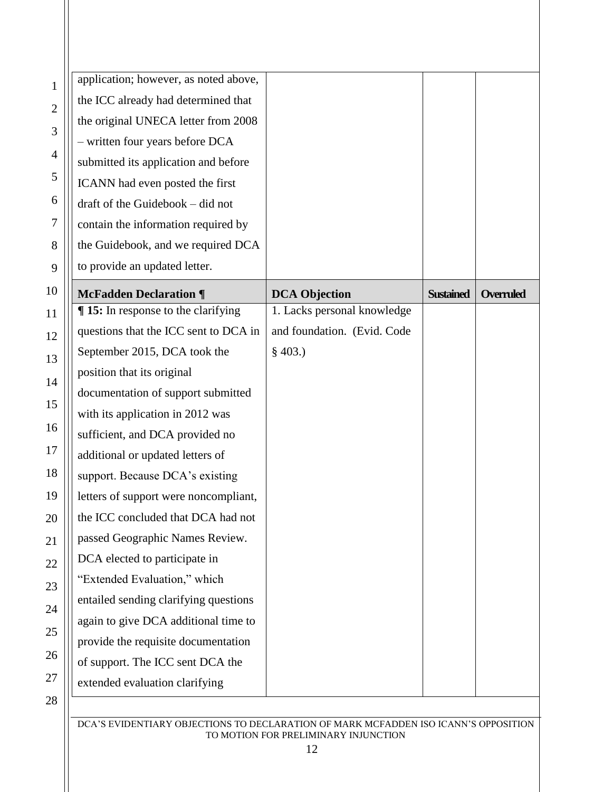| $\mathbf{1}$   | application; however, as noted above,    |                             |                  |                  |
|----------------|------------------------------------------|-----------------------------|------------------|------------------|
| $\overline{c}$ | the ICC already had determined that      |                             |                  |                  |
| 3              | the original UNECA letter from 2008      |                             |                  |                  |
|                | - written four years before DCA          |                             |                  |                  |
| 4              | submitted its application and before     |                             |                  |                  |
| 5              | ICANN had even posted the first          |                             |                  |                  |
| 6              | draft of the Guidebook - did not         |                             |                  |                  |
| 7              | contain the information required by      |                             |                  |                  |
| 8              | the Guidebook, and we required DCA       |                             |                  |                  |
| 9              | to provide an updated letter.            |                             |                  |                  |
| $\overline{0}$ | <b>McFadden Declaration ¶</b>            | <b>DCA Objection</b>        | <b>Sustained</b> | <b>Overruled</b> |
| $\mathbf{1}$   | <b>15:</b> In response to the clarifying | 1. Lacks personal knowledge |                  |                  |
| $\overline{c}$ | questions that the ICC sent to DCA in    | and foundation. (Evid. Code |                  |                  |
| 3              | September 2015, DCA took the             | $§$ 403.)                   |                  |                  |
| 4              | position that its original               |                             |                  |                  |
|                | documentation of support submitted       |                             |                  |                  |
| 5              | with its application in 2012 was         |                             |                  |                  |
| 6              | sufficient, and DCA provided no          |                             |                  |                  |
| 7              | additional or updated letters of         |                             |                  |                  |
| 8              | support. Because DCA's existing          |                             |                  |                  |
| 9              | letters of support were noncompliant,    |                             |                  |                  |
| $\overline{0}$ | the ICC concluded that DCA had not       |                             |                  |                  |
| $\mathbf{1}$   | passed Geographic Names Review.          |                             |                  |                  |
| $\overline{c}$ | DCA elected to participate in            |                             |                  |                  |
| 3              | "Extended Evaluation," which             |                             |                  |                  |
| 4              | entailed sending clarifying questions    |                             |                  |                  |
|                | again to give DCA additional time to     |                             |                  |                  |
| 5              | provide the requisite documentation      |                             |                  |                  |
| 6              | of support. The ICC sent DCA the         |                             |                  |                  |
| 7              | extended evaluation clarifying           |                             |                  |                  |
| 8              |                                          |                             |                  |                  |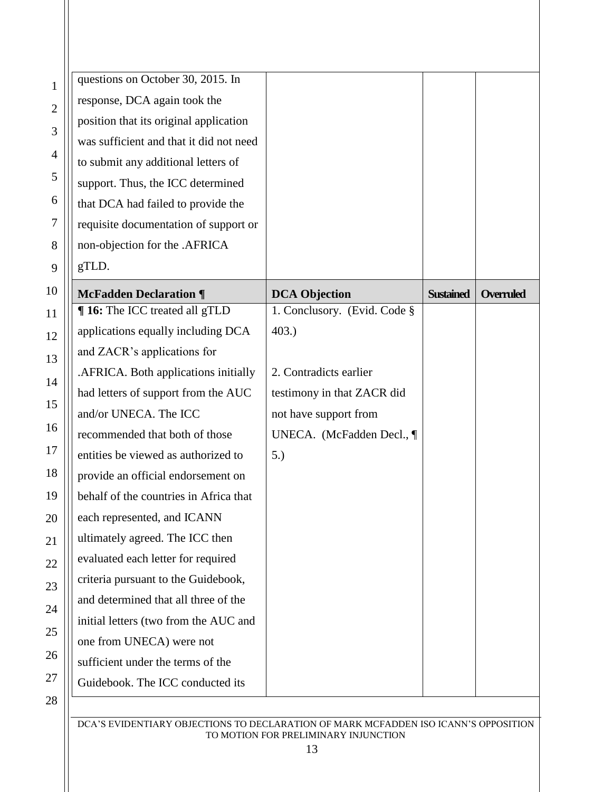| questions on October 30, 2015. In       |                              |                  |                  |
|-----------------------------------------|------------------------------|------------------|------------------|
| response, DCA again took the            |                              |                  |                  |
| position that its original application  |                              |                  |                  |
| was sufficient and that it did not need |                              |                  |                  |
| to submit any additional letters of     |                              |                  |                  |
| support. Thus, the ICC determined       |                              |                  |                  |
| that DCA had failed to provide the      |                              |                  |                  |
| requisite documentation of support or   |                              |                  |                  |
| non-objection for the .AFRICA           |                              |                  |                  |
| gTLD.                                   |                              |                  |                  |
| <b>McFadden Declaration ¶</b>           | <b>DCA Objection</b>         | <b>Sustained</b> | <b>Overruled</b> |
| <b>16:</b> The ICC treated all gTLD     | 1. Conclusory. (Evid. Code § |                  |                  |
| applications equally including DCA      | 403.)                        |                  |                  |
| and ZACR's applications for             |                              |                  |                  |
| .AFRICA. Both applications initially    | 2. Contradicts earlier       |                  |                  |
| had letters of support from the AUC     | testimony in that ZACR did   |                  |                  |
| and/or UNECA. The ICC                   | not have support from        |                  |                  |
| recommended that both of those          | UNECA. (McFadden Decl., ¶    |                  |                  |
| entities be viewed as authorized to     | 5.)                          |                  |                  |
| provide an official endorsement on      |                              |                  |                  |
| behalf of the countries in Africa that  |                              |                  |                  |
| each represented, and ICANN             |                              |                  |                  |
| ultimately agreed. The ICC then         |                              |                  |                  |
| evaluated each letter for required      |                              |                  |                  |
| criteria pursuant to the Guidebook,     |                              |                  |                  |
| and determined that all three of the    |                              |                  |                  |
| initial letters (two from the AUC and   |                              |                  |                  |
| one from UNECA) were not                |                              |                  |                  |
| sufficient under the terms of the       |                              |                  |                  |
| Guidebook. The ICC conducted its        |                              |                  |                  |
|                                         |                              |                  |                  |